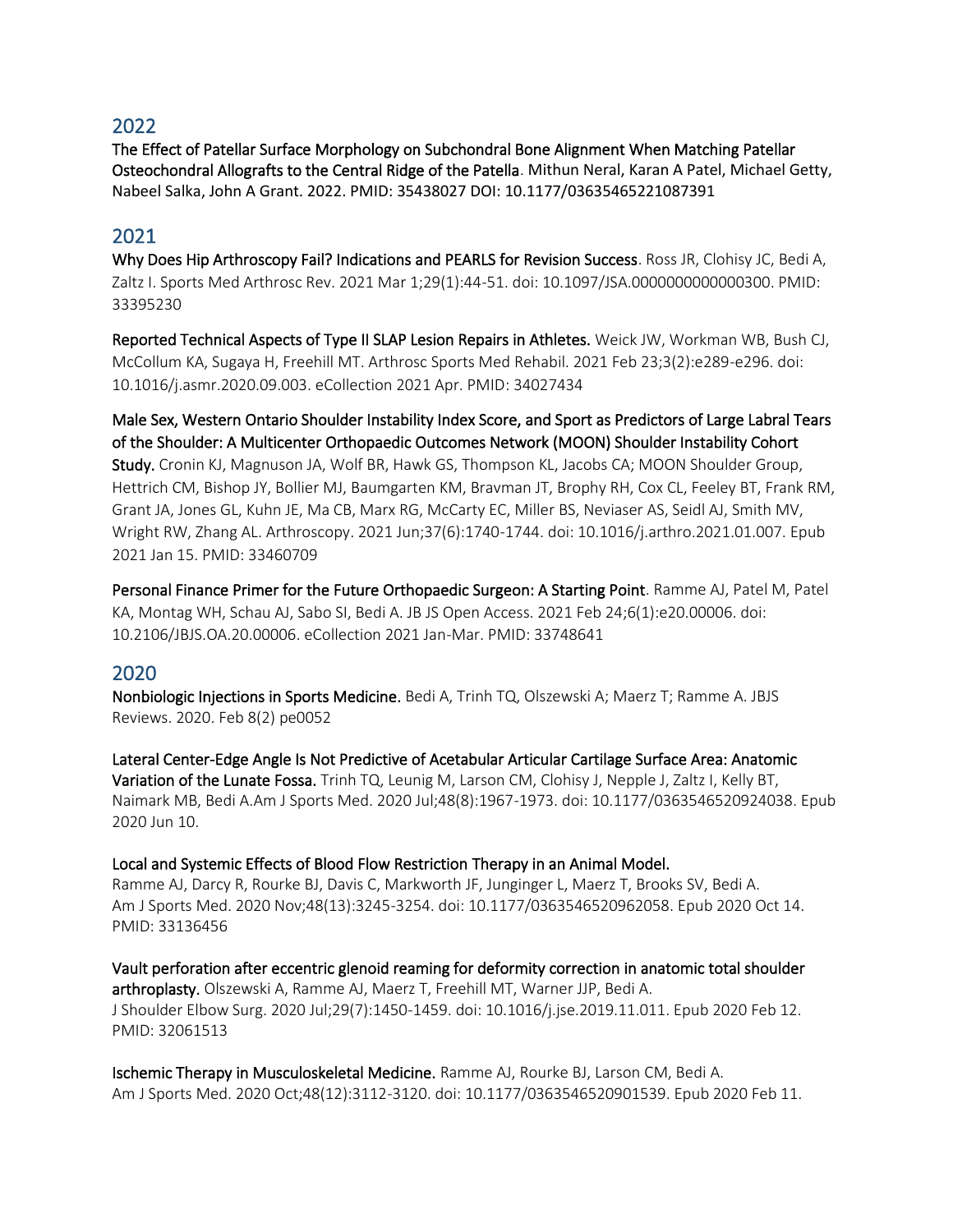## 2022

The Effect of Patellar Surface Morphology on Subchondral Bone Alignment When Matching Patellar Osteochondral Allografts to the Central Ridge of the Patella. Mithun Neral, Karan A Patel, Michael Getty, Nabeel Salka, John A Grant. 2022. PMID: 35438027 DOI: 10.1177/03635465221087391

## 2021

Why Does Hip Arthroscopy Fail? Indications and PEARLS for Revision Success. Ross JR, Clohisy JC, Bedi A, Zaltz I. Sports Med Arthrosc Rev. 2021 Mar 1;29(1):44-51. doi: 10.1097/JSA.0000000000000300. PMID: 33395230

Reported Technical Aspects of Type II SLAP Lesion Repairs in Athletes. Weick JW, Workman WB, Bush CJ, McCollum KA, Sugaya H, Freehill MT. Arthrosc Sports Med Rehabil. 2021 Feb 23;3(2):e289-e296. doi: 10.1016/j.asmr.2020.09.003. eCollection 2021 Apr. PMID: 34027434

Male Sex, Western Ontario Shoulder Instability Index Score, and Sport as Predictors of Large Labral Tears of the Shoulder: A Multicenter Orthopaedic Outcomes Network (MOON) Shoulder Instability Cohort Study. Cronin KJ, Magnuson JA, Wolf BR, Hawk GS, Thompson KL, Jacobs CA; MOON Shoulder Group, Hettrich CM, Bishop JY, Bollier MJ, Baumgarten KM, Bravman JT, Brophy RH, Cox CL, Feeley BT, Frank RM, Grant JA, Jones GL, Kuhn JE, Ma CB, Marx RG, McCarty EC, Miller BS, Neviaser AS, Seidl AJ, Smith MV, Wright RW, Zhang AL. Arthroscopy. 2021 Jun;37(6):1740-1744. doi: 10.1016/j.arthro.2021.01.007. Epub 2021 Jan 15. PMID: 33460709

Personal Finance Primer for the Future Orthopaedic Surgeon: A Starting Point. Ramme AJ, Patel M, Patel KA, Montag WH, Schau AJ, Sabo SI, Bedi A. JB JS Open Access. 2021 Feb 24;6(1):e20.00006. doi: 10.2106/JBJS.OA.20.00006. eCollection 2021 Jan-Mar. PMID: 33748641

## 2020

Nonbiologic Injections in Sports Medicine. Bedi A, Trinh TQ, Olszewski A; Maerz T; Ramme A. JBJS Reviews. 2020. Feb 8(2) pe0052

[Lateral Center-Edge Angle Is Not Predictive of Acetabular Articular Cartilage Surface Area: Anatomic](https://pubmed.ncbi.nlm.nih.gov/32520593/)  [Variation of the Lunate Fossa.](https://pubmed.ncbi.nlm.nih.gov/32520593/) Trinh TQ, Leunig M, Larson CM, Clohisy J, Nepple J, Zaltz I, Kelly BT, Naimark MB, Bedi A.Am J Sports Med. 2020 Jul;48(8):1967-1973. doi: 10.1177/0363546520924038. Epub 2020 Jun 10.

Local and Systemic Effects of Blood Flow Restriction Therapy in an Animal Model.

Ramme AJ, Darcy R, Rourke BJ, Davis C, Markworth JF, Junginger L, Maerz T, Brooks SV, Bedi A. Am J Sports Med. 2020 Nov;48(13):3245-3254. doi: 10.1177/0363546520962058. Epub 2020 Oct 14. PMID: 33136456

Vault perforation after eccentric glenoid reaming for deformity correction in anatomic total shoulder arthroplasty. Olszewski A, Ramme AJ, Maerz T, Freehill MT, Warner JJP, Bedi A. J Shoulder Elbow Surg. 2020 Jul;29(7):1450-1459. doi: 10.1016/j.jse.2019.11.011. Epub 2020 Feb 12. PMID: 32061513

Ischemic Therapy in Musculoskeletal Medicine. Ramme AJ, Rourke BJ, Larson CM, Bedi A. Am J Sports Med. 2020 Oct;48(12):3112-3120. doi: 10.1177/0363546520901539. Epub 2020 Feb 11.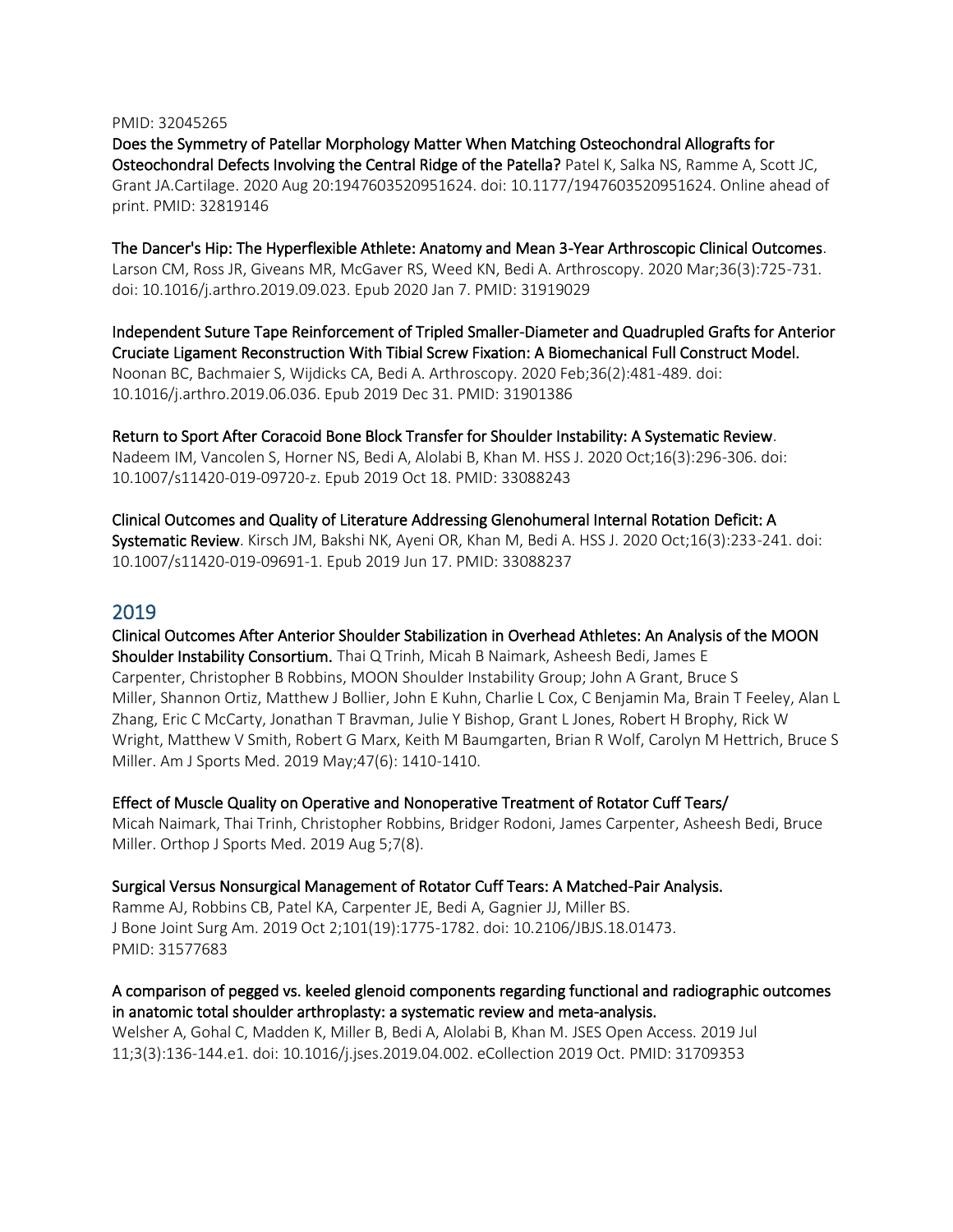#### PMID: 32045265

Does the Symmetry of Patellar Morphology Matter When Matching Osteochondral Allografts for Osteochondral Defects Involving the Central Ridge of the Patella? Patel K, Salka NS, Ramme A, Scott JC, Grant JA.Cartilage. 2020 Aug 20:1947603520951624. doi: 10.1177/1947603520951624. Online ahead of print. PMID: 32819146

The Dancer's Hip: The Hyperflexible Athlete: Anatomy and Mean 3-Year Arthroscopic Clinical Outcomes. Larson CM, Ross JR, Giveans MR, McGaver RS, Weed KN, Bedi A. Arthroscopy. 2020 Mar;36(3):725-731. doi: 10.1016/j.arthro.2019.09.023. Epub 2020 Jan 7. PMID: 31919029

Independent Suture Tape Reinforcement of Tripled Smaller-Diameter and Quadrupled Grafts for Anterior Cruciate Ligament Reconstruction With Tibial Screw Fixation: A Biomechanical Full Construct Model. Noonan BC, Bachmaier S, Wijdicks CA, Bedi A. Arthroscopy. 2020 Feb;36(2):481-489. doi: 10.1016/j.arthro.2019.06.036. Epub 2019 Dec 31. PMID: 31901386

Return to Sport After Coracoid Bone Block Transfer for Shoulder Instability: A Systematic Review. Nadeem IM, Vancolen S, Horner NS, Bedi A, Alolabi B, Khan M. HSS J. 2020 Oct;16(3):296-306. doi: 10.1007/s11420-019-09720-z. Epub 2019 Oct 18. PMID: 33088243

Clinical Outcomes and Quality of Literature Addressing Glenohumeral Internal Rotation Deficit: A Systematic Review. Kirsch JM, Bakshi NK, Ayeni OR, Khan M, Bedi A. HSS J. 2020 Oct;16(3):233-241. doi: 10.1007/s11420-019-09691-1. Epub 2019 Jun 17. PMID: 33088237

#### 2019

Clinical Outcomes After Anterior Shoulder Stabilization in Overhead Athletes: An Analysis of the MOON Shoulder Instability Consortium. [Thai Q Trinh,](https://pubmed.ncbi.nlm.nih.gov/?term=Trinh+TQ&cauthor_id=31042440) [Micah B Naimark,](https://pubmed.ncbi.nlm.nih.gov/?term=Naimark+MB&cauthor_id=31042440) [Asheesh Bedi,](https://pubmed.ncbi.nlm.nih.gov/?term=Bedi+A&cauthor_id=31042440) [James E](https://pubmed.ncbi.nlm.nih.gov/?term=Carpenter+JE&cauthor_id=31042440)  [Carpenter,](https://pubmed.ncbi.nlm.nih.gov/?term=Carpenter+JE&cauthor_id=31042440) [Christopher B Robbins,](https://pubmed.ncbi.nlm.nih.gov/?term=Robbins+CB&cauthor_id=31042440) [MOON Shoulder Instability Group;](https://pubmed.ncbi.nlm.nih.gov/?term=MOON+Shoulder+Instability+Group%5BCorporate+Author%5D) [John A Grant,](https://pubmed.ncbi.nlm.nih.gov/?term=Grant+JA&cauthor_id=31042440) [Bruce S](https://pubmed.ncbi.nlm.nih.gov/?term=Miller+BS&cauthor_id=31042440)  [Miller,](https://pubmed.ncbi.nlm.nih.gov/?term=Miller+BS&cauthor_id=31042440) [Shannon Ortiz,](https://pubmed.ncbi.nlm.nih.gov/?term=Ortiz+S&cauthor_id=31042440) [Matthew J Bollier,](https://pubmed.ncbi.nlm.nih.gov/?term=Bollier+MJ&cauthor_id=31042440) [John E Kuhn,](https://pubmed.ncbi.nlm.nih.gov/?term=Kuhn+JE&cauthor_id=31042440) [Charlie L Cox,](https://pubmed.ncbi.nlm.nih.gov/?term=Cox+CL&cauthor_id=31042440) [C Benjamin Ma,](https://pubmed.ncbi.nlm.nih.gov/?term=Ma+CB&cauthor_id=31042440) [Brain T Feeley,](https://pubmed.ncbi.nlm.nih.gov/?term=Feeley+BT&cauthor_id=31042440) [Alan L](https://pubmed.ncbi.nlm.nih.gov/?term=Zhang+AL&cauthor_id=31042440)  [Zhang,](https://pubmed.ncbi.nlm.nih.gov/?term=Zhang+AL&cauthor_id=31042440) [Eric C McCarty,](https://pubmed.ncbi.nlm.nih.gov/?term=McCarty+EC&cauthor_id=31042440) [Jonathan T Bravman,](https://pubmed.ncbi.nlm.nih.gov/?term=Bravman+JT&cauthor_id=31042440) [Julie Y Bishop,](https://pubmed.ncbi.nlm.nih.gov/?term=Bishop+JY&cauthor_id=31042440) [Grant L Jones,](https://pubmed.ncbi.nlm.nih.gov/?term=Jones+GL&cauthor_id=31042440) [Robert H Brophy,](https://pubmed.ncbi.nlm.nih.gov/?term=Brophy+RH&cauthor_id=31042440) [Rick W](https://pubmed.ncbi.nlm.nih.gov/?term=Wright+RW&cauthor_id=31042440)  [Wright,](https://pubmed.ncbi.nlm.nih.gov/?term=Wright+RW&cauthor_id=31042440) [Matthew V Smith,](https://pubmed.ncbi.nlm.nih.gov/?term=Smith+MV&cauthor_id=31042440) [Robert G Marx,](https://pubmed.ncbi.nlm.nih.gov/?term=Marx+RG&cauthor_id=31042440) [Keith M Baumgarten,](https://pubmed.ncbi.nlm.nih.gov/?term=Baumgarten+KM&cauthor_id=31042440) [Brian R Wolf,](https://pubmed.ncbi.nlm.nih.gov/?term=Wolf+BR&cauthor_id=31042440) [Carolyn M Hettrich,](https://pubmed.ncbi.nlm.nih.gov/?term=Hettrich+CM&cauthor_id=31042440) [Bruce S](https://pubmed.ncbi.nlm.nih.gov/?term=Miller+BS&cauthor_id=31042440)  [Miller.](https://pubmed.ncbi.nlm.nih.gov/?term=Miller+BS&cauthor_id=31042440) Am J Sports Med. 2019 May;47(6): 1410-1410.

Effect of Muscle Quality on Operative and Nonoperative Treatment of Rotator Cuff Tears/ [Micah Naimark,](https://pubmed.ncbi.nlm.nih.gov/?term=Naimark+M&cauthor_id=31428659) [Thai Trinh,](https://pubmed.ncbi.nlm.nih.gov/?term=Trinh+T&cauthor_id=31428659) [Christopher Robbins,](https://pubmed.ncbi.nlm.nih.gov/?term=Robbins+C&cauthor_id=31428659) [Bridger Rodoni,](https://pubmed.ncbi.nlm.nih.gov/?term=Rodoni+B&cauthor_id=31428659) [James Carpenter,](https://pubmed.ncbi.nlm.nih.gov/?term=Carpenter+J&cauthor_id=31428659) [Asheesh Bedi,](https://pubmed.ncbi.nlm.nih.gov/?term=Bedi+A&cauthor_id=31428659) [Bruce](https://pubmed.ncbi.nlm.nih.gov/?term=Miller+B&cauthor_id=31428659)  [Miller.](https://pubmed.ncbi.nlm.nih.gov/?term=Miller+B&cauthor_id=31428659) Orthop J Sports Med. 2019 Aug 5;7(8).

Surgical Versus Nonsurgical Management of Rotator Cuff Tears: A Matched-Pair Analysis.

Ramme AJ, Robbins CB, Patel KA, Carpenter JE, Bedi A, Gagnier JJ, Miller BS. J Bone Joint Surg Am. 2019 Oct 2;101(19):1775-1782. doi: 10.2106/JBJS.18.01473. PMID: 31577683

#### A comparison of pegged vs. keeled glenoid components regarding functional and radiographic outcomes in anatomic total shoulder arthroplasty: a systematic review and meta-analysis.

Welsher A, Gohal C, Madden K, Miller B, Bedi A, Alolabi B, Khan M. JSES Open Access. 2019 Jul 11;3(3):136-144.e1. doi: 10.1016/j.jses.2019.04.002. eCollection 2019 Oct. PMID: 31709353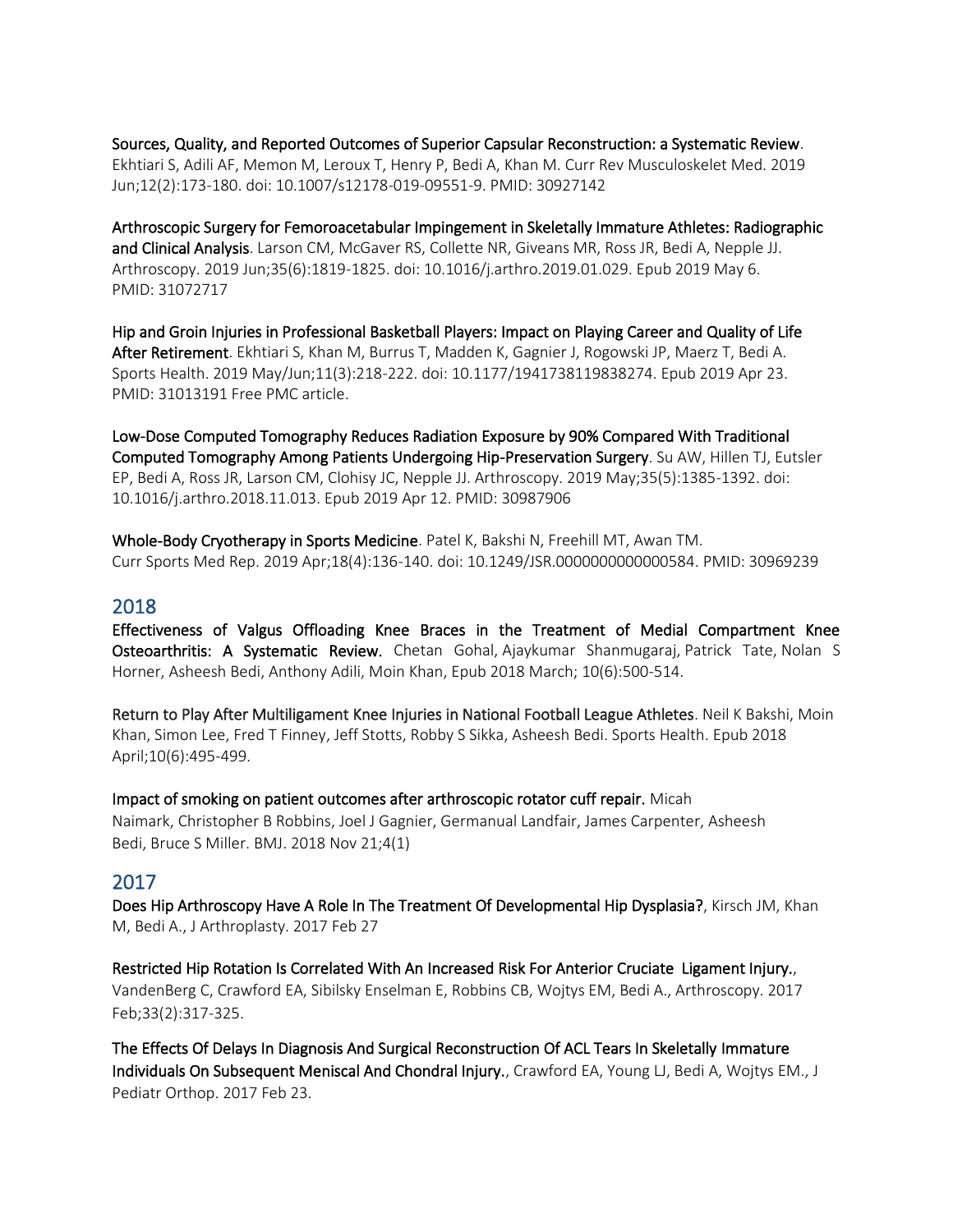Sources, Quality, and Reported Outcomes of Superior Capsular Reconstruction: a Systematic Review. Ekhtiari S, Adili AF, Memon M, Leroux T, Henry P, Bedi A, Khan M. Curr Rev Musculoskelet Med. 2019 Jun;12(2):173-180. doi: 10.1007/s12178-019-09551-9. PMID: 30927142

Arthroscopic Surgery for Femoroacetabular Impingement in Skeletally Immature Athletes: Radiographic and Clinical Analysis. Larson CM, McGaver RS, Collette NR, Giveans MR, Ross JR, Bedi A, Nepple JJ. Arthroscopy. 2019 Jun;35(6):1819-1825. doi: 10.1016/j.arthro.2019.01.029. Epub 2019 May 6. PMID: 31072717

Hip and Groin Injuries in Professional Basketball Players: Impact on Playing Career and Quality of Life After Retirement. Ekhtiari S, Khan M, Burrus T, Madden K, Gagnier J, Rogowski JP, Maerz T, Bedi A. Sports Health. 2019 May/Jun;11(3):218-222. doi: 10.1177/1941738119838274. Epub 2019 Apr 23. PMID: 31013191 Free PMC article.

Low-Dose Computed Tomography Reduces Radiation Exposure by 90% Compared With Traditional Computed Tomography Among Patients Undergoing Hip-Preservation Surgery. Su AW, Hillen TJ, Eutsler EP, Bedi A, Ross JR, Larson CM, Clohisy JC, Nepple JJ. Arthroscopy. 2019 May;35(5):1385-1392. doi: 10.1016/j.arthro.2018.11.013. Epub 2019 Apr 12. PMID: 30987906

Whole-Body Cryotherapy in Sports Medicine. Patel K, Bakshi N, Freehill MT, Awan TM. Curr Sports Med Rep. 2019 Apr;18(4):136-140. doi: 10.1249/JSR.0000000000000584. PMID: 30969239

#### 2018

Effectiveness of Valgus Offloading Knee Braces in the Treatment of Medial Compartment Knee Osteoarthritis: A Systematic Review. [Chetan Gohal,](https://pubmed.ncbi.nlm.nih.gov/?term=Gohal+C&cauthor_id=29543576) [Ajaykumar Shanmugaraj,](https://pubmed.ncbi.nlm.nih.gov/?term=Shanmugaraj+A&cauthor_id=29543576) [Patrick Tate,](https://pubmed.ncbi.nlm.nih.gov/?term=Tate+P&cauthor_id=29543576) [Nolan S](https://pubmed.ncbi.nlm.nih.gov/?term=Horner+NS&cauthor_id=29543576)  [Horner,](https://pubmed.ncbi.nlm.nih.gov/?term=Horner+NS&cauthor_id=29543576) [Asheesh Bedi,](https://pubmed.ncbi.nlm.nih.gov/?term=Bedi+A&cauthor_id=29543576) [Anthony Adili,](https://pubmed.ncbi.nlm.nih.gov/?term=Adili+A&cauthor_id=29543576) [Moin Khan,](https://pubmed.ncbi.nlm.nih.gov/?term=Khan+M&cauthor_id=29543576) Epub 2018 March; 10(6):500-514.

Return to Play After Multiligament Knee Injuries in National Football League Athletes. [Neil K Bakshi,](https://pubmed.ncbi.nlm.nih.gov/?term=Bakshi+NK&cauthor_id=29638200) [Moin](https://pubmed.ncbi.nlm.nih.gov/?term=Khan+M&cauthor_id=29638200)  [Khan,](https://pubmed.ncbi.nlm.nih.gov/?term=Khan+M&cauthor_id=29638200) [Simon Lee,](https://pubmed.ncbi.nlm.nih.gov/?term=Lee+S&cauthor_id=29638200) [Fred T Finney,](https://pubmed.ncbi.nlm.nih.gov/?term=Finney+FT&cauthor_id=29638200) [Jeff Stotts,](https://pubmed.ncbi.nlm.nih.gov/?term=Stotts+J&cauthor_id=29638200) [Robby S Sikka,](https://pubmed.ncbi.nlm.nih.gov/?term=Sikka+RS&cauthor_id=29638200) [Asheesh Bedi.](https://pubmed.ncbi.nlm.nih.gov/?term=Bedi+A&cauthor_id=29638200) Sports Health. Epub 2018 April;10(6):495-499.

Impact of smoking on patient outcomes after arthroscopic rotator cuff repair. [Micah](https://pubmed.ncbi.nlm.nih.gov/?term=Naimark+M&cauthor_id=30555715)  [Naimark,](https://pubmed.ncbi.nlm.nih.gov/?term=Naimark+M&cauthor_id=30555715) [Christopher B Robbins,](https://pubmed.ncbi.nlm.nih.gov/?term=Robbins+CB&cauthor_id=30555715) [Joel J Gagnier,](https://pubmed.ncbi.nlm.nih.gov/?term=Gagnier+JJ&cauthor_id=30555715) [Germanual Landfair,](https://pubmed.ncbi.nlm.nih.gov/?term=Landfair+G&cauthor_id=30555715) [James Carpenter,](https://pubmed.ncbi.nlm.nih.gov/?term=Carpenter+J&cauthor_id=30555715) [Asheesh](https://pubmed.ncbi.nlm.nih.gov/?term=Bedi+A&cauthor_id=30555715)  [Bedi,](https://pubmed.ncbi.nlm.nih.gov/?term=Bedi+A&cauthor_id=30555715) [Bruce S Miller.](https://pubmed.ncbi.nlm.nih.gov/?term=Miller+BS&cauthor_id=30555715) BMJ. 2018 Nov 21;4(1)

## 2017

[Does Hip Arthroscopy Have A Role In The Treatment Of Developmental Hip Dysplasia?,](https://www.ncbi.nlm.nih.gov/pubmed/28336246) Kirsch JM, Khan M, Bedi A., J Arthroplasty. 2017 Feb 27

Restricted Hip Rotation Is Correlated With An Increased Risk For Anterior Cruciate Ligament Injury., [VandenBerg C,](https://www.ncbi.nlm.nih.gov/pubmed/?term=VandenBerg%20C%5BAuthor%5D&cauthor=true&cauthor_uid=27840056) [Crawford EA,](https://www.ncbi.nlm.nih.gov/pubmed/?term=Crawford%20EA%5BAuthor%5D&cauthor=true&cauthor_uid=27840056) [Sibilsky Enselman E,](https://www.ncbi.nlm.nih.gov/pubmed/?term=Sibilsky%20Enselman%20E%5BAuthor%5D&cauthor=true&cauthor_uid=27840056) [Robbins CB,](https://www.ncbi.nlm.nih.gov/pubmed/?term=Robbins%20CB%5BAuthor%5D&cauthor=true&cauthor_uid=27840056) [Wojtys EM,](https://www.ncbi.nlm.nih.gov/pubmed/?term=Wojtys%20EM%5BAuthor%5D&cauthor=true&cauthor_uid=27840056) [Bedi A.,](https://www.ncbi.nlm.nih.gov/pubmed/?term=Bedi%20A%5BAuthor%5D&cauthor=true&cauthor_uid=27840056) [Arthroscopy.](https://www.ncbi.nlm.nih.gov/pubmed/27840056) 2017 Feb;33(2):317-325.

[The Effects Of Delays In Diagnosis And Surgical Reconstruction Of ACL Tears In Skeletally Immature](https://www.ncbi.nlm.nih.gov/pubmed/28234731)  [Individuals On Subsequent Meniscal And Chondral Injury.,](https://www.ncbi.nlm.nih.gov/pubmed/28234731) Crawford EA, Young LJ, Bedi A, Wojtys EM., J Pediatr Orthop. 2017 Feb 23.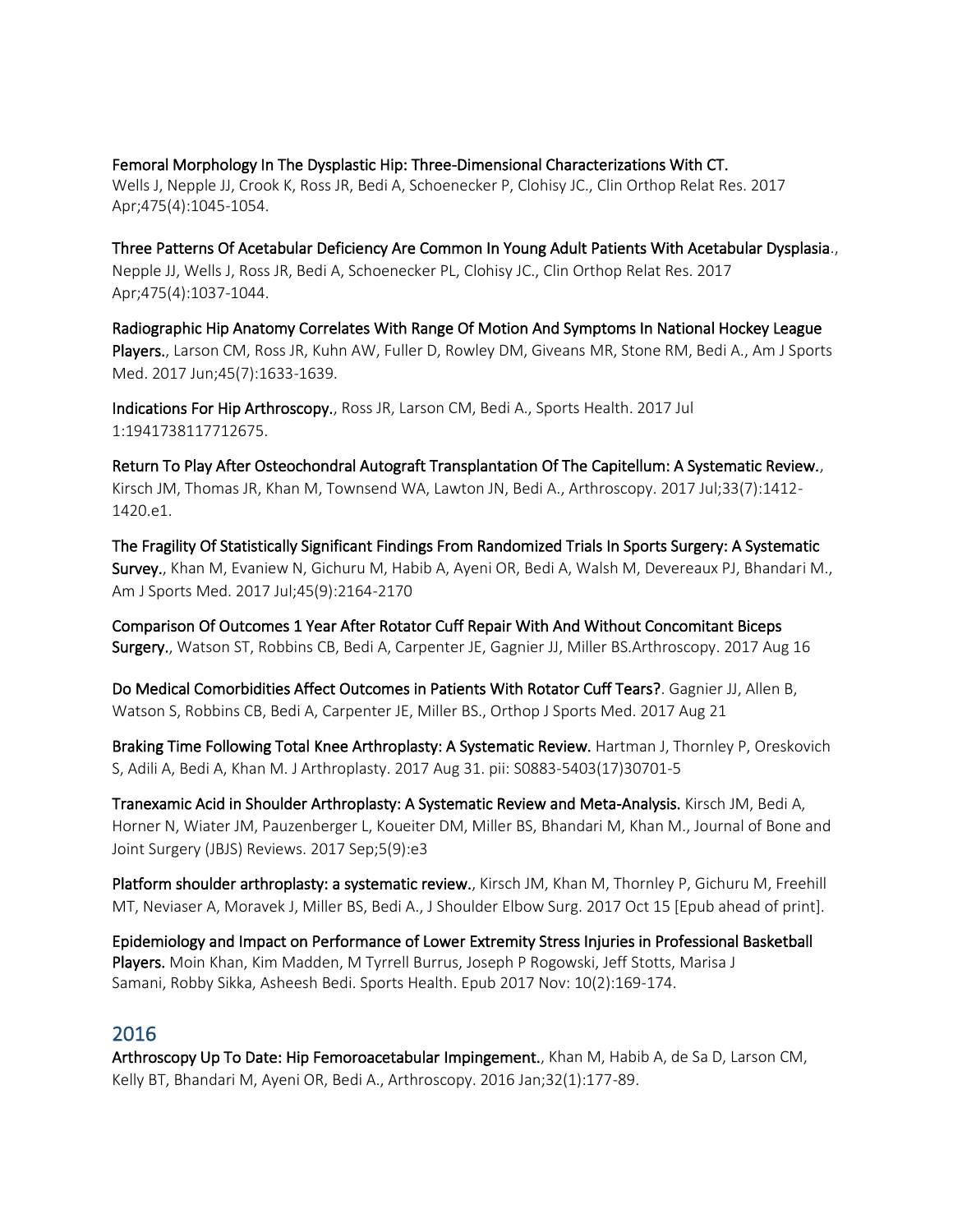# [Femoral Morphology In The Dysplastic Hip: Three-Dimensional Characterizations With CT.](https://www.ncbi.nlm.nih.gov/pubmed/27752989)

Wells J, Nepple JJ, Crook K, Ross JR, Bedi A, Schoenecker P, Clohisy JC., Clin Orthop Relat Res. 2017 Apr;475(4):1045-1054.

[Three Patterns Of Acetabular Deficiency Are Common In Young Adult Patients With Acetabular Dysplasia.,](https://www.ncbi.nlm.nih.gov/pubmed/27830486) Nepple JJ, Wells J, Ross JR, Bedi A, Schoenecker PL, Clohisy JC., Clin Orthop Relat Res. 2017 Apr;475(4):1037-1044.

[Radiographic Hip Anatomy Correlates With Range Of Motion And Symptoms In National Hockey League](https://www.ncbi.nlm.nih.gov/pubmed/28298064)  [Players.,](https://www.ncbi.nlm.nih.gov/pubmed/28298064) Larson CM, Ross JR, Kuhn AW, Fuller D, Rowley DM, Giveans MR, Stone RM, Bedi A., Am J Sports Med. 2017 Jun;45(7):1633-1639.

[Indications For Hip Arthroscopy.,](https://www.ncbi.nlm.nih.gov/pubmed/28678628) Ross JR, Larson CM, Bedi A., Sports Health. 2017 Jul 1:1941738117712675.

[Return To Play After Osteochondral Autograft Transplantation Of The Capitellum: A Systematic Review.,](https://www.ncbi.nlm.nih.gov/pubmed/28413129) Kirsch JM, Thomas JR, Khan M, Townsend WA, Lawton JN, Bedi A., Arthroscopy. 2017 Jul;33(7):1412- 1420.e1.

[The Fragility Of Statistically Significant Findings From Randomized Trials In Sports Surgery: A Systematic](https://www.ncbi.nlm.nih.gov/pubmed/27895038)  [Survey.,](https://www.ncbi.nlm.nih.gov/pubmed/27895038) Khan M, Evaniew N, Gichuru M, Habib A, Ayeni OR, Bedi A, Walsh M, Devereaux PJ, Bhandari M., Am J Sports Med. 2017 Jul;45(9):2164-2170

[Comparison Of Outcomes 1 Year After Rotator Cuff Repair With And Without Concomitant Biceps](https://www.ncbi.nlm.nih.gov/pubmed/28822640)  [Surgery.,](https://www.ncbi.nlm.nih.gov/pubmed/28822640) Watson ST, Robbins CB, Bedi A, Carpenter JE, Gagnier JJ, Miller BS.Arthroscopy. 2017 Aug 16

[Do Medical Comorbidities Affect Outcomes in Patients With Rotator Cuff Tears?.](https://www.ncbi.nlm.nih.gov/pubmed/28856169) Gagnier JJ, Allen B, Watson S, Robbins CB, Bedi A, Carpenter JE, Miller BS., Orthop J Sports Med. 2017 Aug 21

Braking Time Following Total Knee Arthroplasty: A Systematic Review. Hartman J, Thornley P, Oreskovich S, Adili A, Bedi A, Khan M. J Arthroplasty. 2017 Aug 31. pii: S0883-5403(17)30701-5

Tranexamic Acid in Shoulder Arthroplasty: A Systematic Review and Meta-Analysis. Kirsch JM, Bedi A, Horner N, Wiater JM, Pauzenberger L, Koueiter DM, Miller BS, Bhandari M, Khan M., Journal of Bone and Joint Surgery (JBJS) Reviews. 2017 Sep;5(9):e3

Platform shoulder arthroplasty: a systematic review.[, Kirsch JM,](https://www.ncbi.nlm.nih.gov/pubmed/?term=Kirsch%20JM%5BAuthor%5D&cauthor=true&cauthor_uid=29046255) [Khan M,](https://www.ncbi.nlm.nih.gov/pubmed/?term=Khan%20M%5BAuthor%5D&cauthor=true&cauthor_uid=29046255) [Thornley P,](https://www.ncbi.nlm.nih.gov/pubmed/?term=Thornley%20P%5BAuthor%5D&cauthor=true&cauthor_uid=29046255) [Gichuru M,](https://www.ncbi.nlm.nih.gov/pubmed/?term=Gichuru%20M%5BAuthor%5D&cauthor=true&cauthor_uid=29046255) [Freehill](https://www.ncbi.nlm.nih.gov/pubmed/?term=Freehill%20MT%5BAuthor%5D&cauthor=true&cauthor_uid=29046255)  [MT,](https://www.ncbi.nlm.nih.gov/pubmed/?term=Freehill%20MT%5BAuthor%5D&cauthor=true&cauthor_uid=29046255) [Neviaser A,](https://www.ncbi.nlm.nih.gov/pubmed/?term=Neviaser%20A%5BAuthor%5D&cauthor=true&cauthor_uid=29046255) [Moravek J,](https://www.ncbi.nlm.nih.gov/pubmed/?term=Moravek%20J%5BAuthor%5D&cauthor=true&cauthor_uid=29046255) [Miller BS,](https://www.ncbi.nlm.nih.gov/pubmed/?term=Miller%20BS%5BAuthor%5D&cauthor=true&cauthor_uid=29046255) [Bedi A.](https://www.ncbi.nlm.nih.gov/pubmed/?term=Bedi%20A%5BAuthor%5D&cauthor=true&cauthor_uid=29046255)[, J Shoulder Elbow Surg.](https://www.ncbi.nlm.nih.gov/pubmed/29046255) 2017 Oct 15 [Epub ahead of print].

Epidemiology and Impact on Performance of Lower Extremity Stress Injuries in Professional Basketball Players[. Moin Khan,](https://pubmed.ncbi.nlm.nih.gov/?term=Khan+M&cauthor_id=29106811) [Kim Madden,](https://pubmed.ncbi.nlm.nih.gov/?term=Madden+K&cauthor_id=29106811) [M Tyrrell Burrus,](https://pubmed.ncbi.nlm.nih.gov/?term=Burrus+MT&cauthor_id=29106811) [Joseph P Rogowski,](https://pubmed.ncbi.nlm.nih.gov/?term=Rogowski+JP&cauthor_id=29106811) [Jeff Stotts,](https://pubmed.ncbi.nlm.nih.gov/?term=Stotts+J&cauthor_id=29106811) [Marisa J](https://pubmed.ncbi.nlm.nih.gov/?term=Samani+MJ&cauthor_id=29106811)  [Samani,](https://pubmed.ncbi.nlm.nih.gov/?term=Samani+MJ&cauthor_id=29106811) [Robby Sikka,](https://pubmed.ncbi.nlm.nih.gov/?term=Sikka+R&cauthor_id=29106811) [Asheesh Bedi.](https://pubmed.ncbi.nlm.nih.gov/?term=Bedi+A&cauthor_id=29106811) Sports Health. Epub 2017 Nov: 10(2):169-174.

## 2016

[Arthroscopy Up To Date: Hip Femoroacetabular Impingement.,](https://www.ncbi.nlm.nih.gov/pubmed/26743420) Khan M, Habib A, de Sa D, Larson CM, Kelly BT, Bhandari M, Ayeni OR, Bedi A., Arthroscopy. 2016 Jan;32(1):177-89.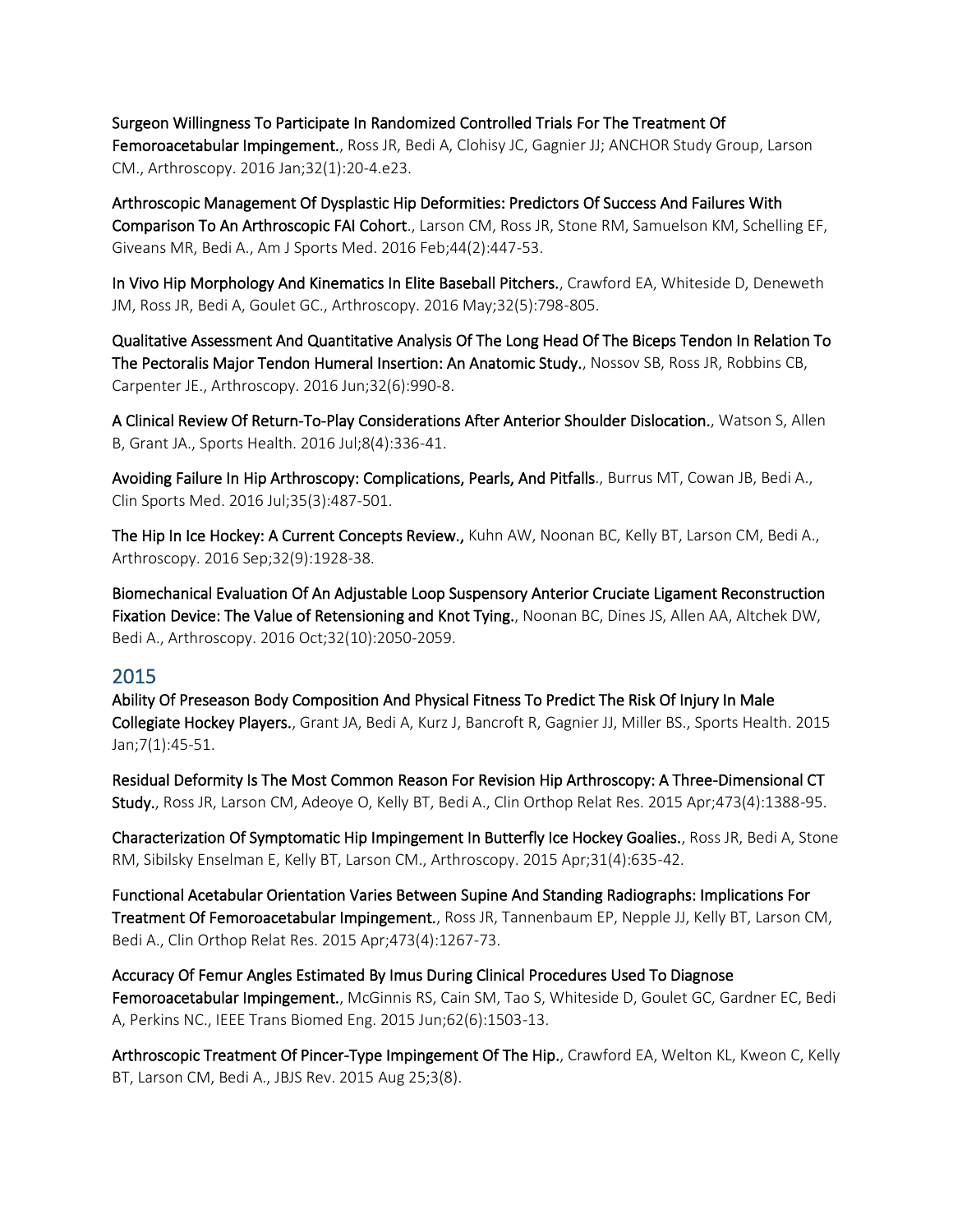[Surgeon Willingness To Participate In Randomized Controlled Trials For The Treatment Of](https://www.ncbi.nlm.nih.gov/pubmed/26395410)  [Femoroacetabular Impingement.,](https://www.ncbi.nlm.nih.gov/pubmed/26395410) Ross JR, Bedi A, Clohisy JC, Gagnier JJ; ANCHOR Study Group, Larson CM., Arthroscopy. 2016 Jan;32(1):20-4.e23.

[Arthroscopic Management Of Dysplastic Hip Deformities: Predictors Of Success And Failures With](https://www.ncbi.nlm.nih.gov/pubmed/26620299)  [Comparison To An Arthroscopic FAI Cohort.,](https://www.ncbi.nlm.nih.gov/pubmed/26620299) Larson CM, Ross JR, Stone RM, Samuelson KM, Schelling EF, Giveans MR, Bedi A., Am J Sports Med. 2016 Feb;44(2):447-53.

[In Vivo Hip Morphology And Kinematics In Elite Baseball Pitchers.,](https://www.ncbi.nlm.nih.gov/pubmed/26972629) Crawford EA, Whiteside D, Deneweth JM, Ross JR, Bedi A, Goulet GC., Arthroscopy. 2016 May;32(5):798-805.

[Qualitative Assessment And Quantitative Analysis Of The Long Head Of The Biceps Tendon In Relation To](https://www.ncbi.nlm.nih.gov/pubmed/26921125)  [The Pectoralis Major Tendon Humeral Insertion: An Anatomic Study.,](https://www.ncbi.nlm.nih.gov/pubmed/26921125) Nossov SB, Ross JR, Robbins CB, Carpenter JE., Arthroscopy. 2016 Jun;32(6):990-8.

[A Clinical Review Of Return-To-Play Considerations After Anterior Shoulder Dislocation.,](https://www.ncbi.nlm.nih.gov/pubmed/27255423) Watson S, Allen B, Grant JA., Sports Health. 2016 Jul;8(4):336-41.

Avoiding Failure In Hip Arthroscopy: Complications, Pearls, And Pitfalls., [Burrus MT,](https://www.ncbi.nlm.nih.gov/pubmed/?term=Burrus%20MT%5BAuthor%5D&cauthor=true&cauthor_uid=27343398) [Cowan JB,](https://www.ncbi.nlm.nih.gov/pubmed/?term=Cowan%20JB%5BAuthor%5D&cauthor=true&cauthor_uid=27343398) [Bedi A.](https://www.ncbi.nlm.nih.gov/pubmed/?term=Bedi%20A%5BAuthor%5D&cauthor=true&cauthor_uid=27343398), [Clin Sports Med.](https://www.ncbi.nlm.nih.gov/pubmed/?term=Avoiding+Failure+in+Hip+Arthroscopy%3A+Complications%2C+Pearls%2C+and+Pitfalls.) 2016 Jul;35(3):487-501.

[The Hip In Ice Hockey: A Current Concepts Review.,](https://www.ncbi.nlm.nih.gov/pubmed/27318779) Kuhn AW, Noonan BC, Kelly BT, Larson CM, Bedi A., Arthroscopy. 2016 Sep;32(9):1928-38.

[Biomechanical Evaluation Of An Adjustable Loop Suspensory Anterior Cruciate Ligament Reconstruction](https://www.ncbi.nlm.nih.gov/pubmed/27157659)  [Fixation Device: The Value of Retensioning and Knot Tying.,](https://www.ncbi.nlm.nih.gov/pubmed/27157659) Noonan BC, Dines JS, Allen AA, Altchek DW, Bedi A., Arthroscopy. 2016 Oct;32(10):2050-2059.

## 2015

[Ability Of Preseason Body Composition And Physical Fitness To Predict The Risk Of Injury In Male](https://www.ncbi.nlm.nih.gov/pubmed/25553212)  [Collegiate Hockey Players.,](https://www.ncbi.nlm.nih.gov/pubmed/25553212) Grant JA, Bedi A, Kurz J, Bancroft R, Gagnier JJ, Miller BS., Sports Health. 2015 Jan;7(1):45-51.

[Residual Deformity Is The Most Common Reason For Revision Hip Arthroscopy: A Three-Dimensional CT](https://www.ncbi.nlm.nih.gov/pubmed/25475714)  [Study.,](https://www.ncbi.nlm.nih.gov/pubmed/25475714) Ross JR, Larson CM, Adeoye O, Kelly BT, Bedi A., Clin Orthop Relat Res. 2015 Apr;473(4):1388-95.

[Characterization Of Symptomatic Hip Impingement In Butterfly Ice Hockey Goalies.,](https://www.ncbi.nlm.nih.gov/pubmed/25498869) Ross JR, Bedi A, Stone RM, Sibilsky Enselman E, Kelly BT, Larson CM., Arthroscopy. 2015 Apr;31(4):635-42.

[Functional Acetabular Orientation Varies Between Supine And Standing Radiographs: Implications For](https://www.ncbi.nlm.nih.gov/pubmed/25560956)  [Treatment Of Femoroacetabular Impingement.,](https://www.ncbi.nlm.nih.gov/pubmed/25560956) Ross JR, Tannenbaum EP, Nepple JJ, Kelly BT, Larson CM, Bedi A., Clin Orthop Relat Res. 2015 Apr;473(4):1267-73.

[Accuracy Of Femur Angles Estimated By Imus During Clinical Procedures Used To Diagnose](https://www.ncbi.nlm.nih.gov/pubmed/25608299)  [Femoroacetabular Impingement.,](https://www.ncbi.nlm.nih.gov/pubmed/25608299) McGinnis RS, Cain SM, Tao S, Whiteside D, Goulet GC, Gardner EC, Bedi A, Perkins NC., IEEE Trans Biomed Eng. 2015 Jun;62(6):1503-13.

[Arthroscopic Treatment Of Pincer-Type Impingement Of The Hip.,](https://www.ncbi.nlm.nih.gov/pubmed/27490474) Crawford EA, Welton KL, Kweon C, Kelly BT, Larson CM, Bedi A., JBJS Rev. 2015 Aug 25;3(8).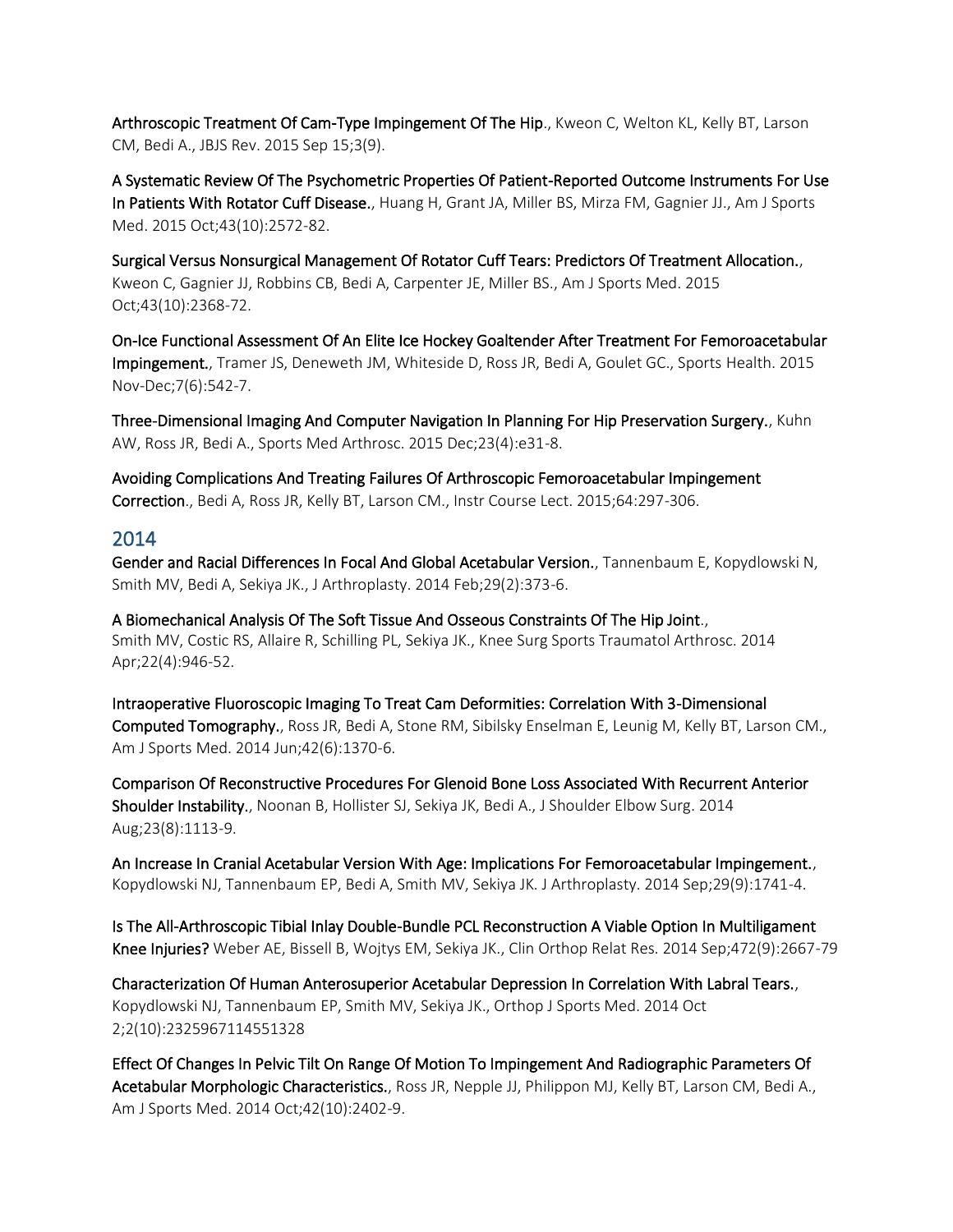[Arthroscopic Treatment Of Cam-Type Impingement Of The Hip.,](https://www.ncbi.nlm.nih.gov/pubmed/27490671) Kweon C, Welton KL, Kelly BT, Larson CM, Bedi A., JBJS Rev. 2015 Sep 15;3(9).

[A Systematic Review Of The Psychometric Properties Of Patient-Reported Outcome Instruments For Use](https://www.ncbi.nlm.nih.gov/pubmed/25622986)  [In Patients With Rotator Cuff Disease.,](https://www.ncbi.nlm.nih.gov/pubmed/25622986) Huang H, Grant JA, Miller BS, Mirza FM, Gagnier JJ., Am J Sports Med. 2015 Oct;43(10):2572-82.

[Surgical Versus Nonsurgical Management Of Rotator Cuff Tears: Predictors Of Treatment Allocation.,](https://www.ncbi.nlm.nih.gov/pubmed/26268847) Kweon C, Gagnier JJ, Robbins CB, Bedi A, Carpenter JE, Miller BS., Am J Sports Med. 2015 Oct;43(10):2368-72.

[On-Ice Functional Assessment Of An Elite Ice Hockey Goaltender After Treatment For Femoroacetabular](https://www.ncbi.nlm.nih.gov/pubmed/26502449)  [Impingement.,](https://www.ncbi.nlm.nih.gov/pubmed/26502449) Tramer JS, Deneweth JM, Whiteside D, Ross JR, Bedi A, Goulet GC., Sports Health. 2015 Nov-Dec;7(6):542-7.

[Three-Dimensional Imaging And Computer Navigation In Planning For Hip Preservation Surgery.,](https://www.ncbi.nlm.nih.gov/pubmed/26524559) Kuhn AW, Ross JR, Bedi A., Sports Med Arthrosc. 2015 Dec;23(4):e31-8.

[Avoiding Complications And Treating Failures Of Arthroscopic Femoroacetabular Impingement](https://www.ncbi.nlm.nih.gov/pubmed/25745915)  [Correction.,](https://www.ncbi.nlm.nih.gov/pubmed/25745915) Bedi A, Ross JR, Kelly BT, Larson CM., Instr Course Lect. 2015;64:297-306.

#### 2014

Gender and Racial Differences In Focal And Global Acetabular Version., Tannenbaum E, Kopydlowski N, Smith MV, Bedi A, Sekiya JK., J Arthroplasty. 2014 Feb;29(2):373-6.

[A Biomechanical Analysis Of The Soft Tissue And Osseous Constraints Of The Hip Joint.,](https://www.ncbi.nlm.nih.gov/pubmed/23108679) Smith MV, Costic RS, Allaire R, Schilling PL, Sekiya JK., Knee Surg Sports Traumatol Arthrosc. 2014 Apr;22(4):946-52.

[Intraoperative Fluoroscopic Imaging To Treat Cam Deformities: Correlation With 3-Dimensional](https://www.ncbi.nlm.nih.gov/pubmed/24737661)  [Computed Tomography.,](https://www.ncbi.nlm.nih.gov/pubmed/24737661) Ross JR, Bedi A, Stone RM, Sibilsky Enselman E, Leunig M, Kelly BT, Larson CM., Am J Sports Med. 2014 Jun;42(6):1370-6.

[Comparison Of Reconstructive Procedures For Glenoid Bone Loss Associated With Recurrent Anterior](https://www.ncbi.nlm.nih.gov/pubmed/24561175)  [Shoulder Instability.,](https://www.ncbi.nlm.nih.gov/pubmed/24561175) Noonan B, Hollister SJ, Sekiya JK, Bedi A., J Shoulder Elbow Surg. 2014 Aug;23(8):1113-9.

[An Increase In Cranial Acetabular Version With Age: Implications For Femoroacetabular Impingement.,](https://www.ncbi.nlm.nih.gov/pubmed/24851791) Kopydlowski NJ, Tannenbaum EP, Bedi A, Smith MV, Sekiya JK. J Arthroplasty. 2014 Sep;29(9):1741-4.

[Is The All-Arthroscopic Tibial Inlay Double-Bundle PCL Reconstruction A Viable Option In Multiligament](https://www.ncbi.nlm.nih.gov/pubmed/25048278)  [Knee Injuries? W](https://www.ncbi.nlm.nih.gov/pubmed/25048278)eber AE, Bissell B, Wojtys EM, Sekiya JK., Clin Orthop Relat Res. 2014 Sep;472(9):2667-79

[Characterization Of Human Anterosuperior Acetabular Depression In Correlation With Labral Tears.,](https://www.ncbi.nlm.nih.gov/pubmed/26535270) Kopydlowski NJ, Tannenbaum EP, Smith MV, Sekiya JK., Orthop J Sports Med. 2014 Oct 2;2(10):2325967114551328

[Effect Of Changes In Pelvic Tilt On Range Of Motion To Impingement And Radiographic Parameters Of](https://www.ncbi.nlm.nih.gov/pubmed/25060073)  [Acetabular Morphologic Characteristics.,](https://www.ncbi.nlm.nih.gov/pubmed/25060073) Ross JR, Nepple JJ, Philippon MJ, Kelly BT, Larson CM, Bedi A., Am J Sports Med. 2014 Oct;42(10):2402-9.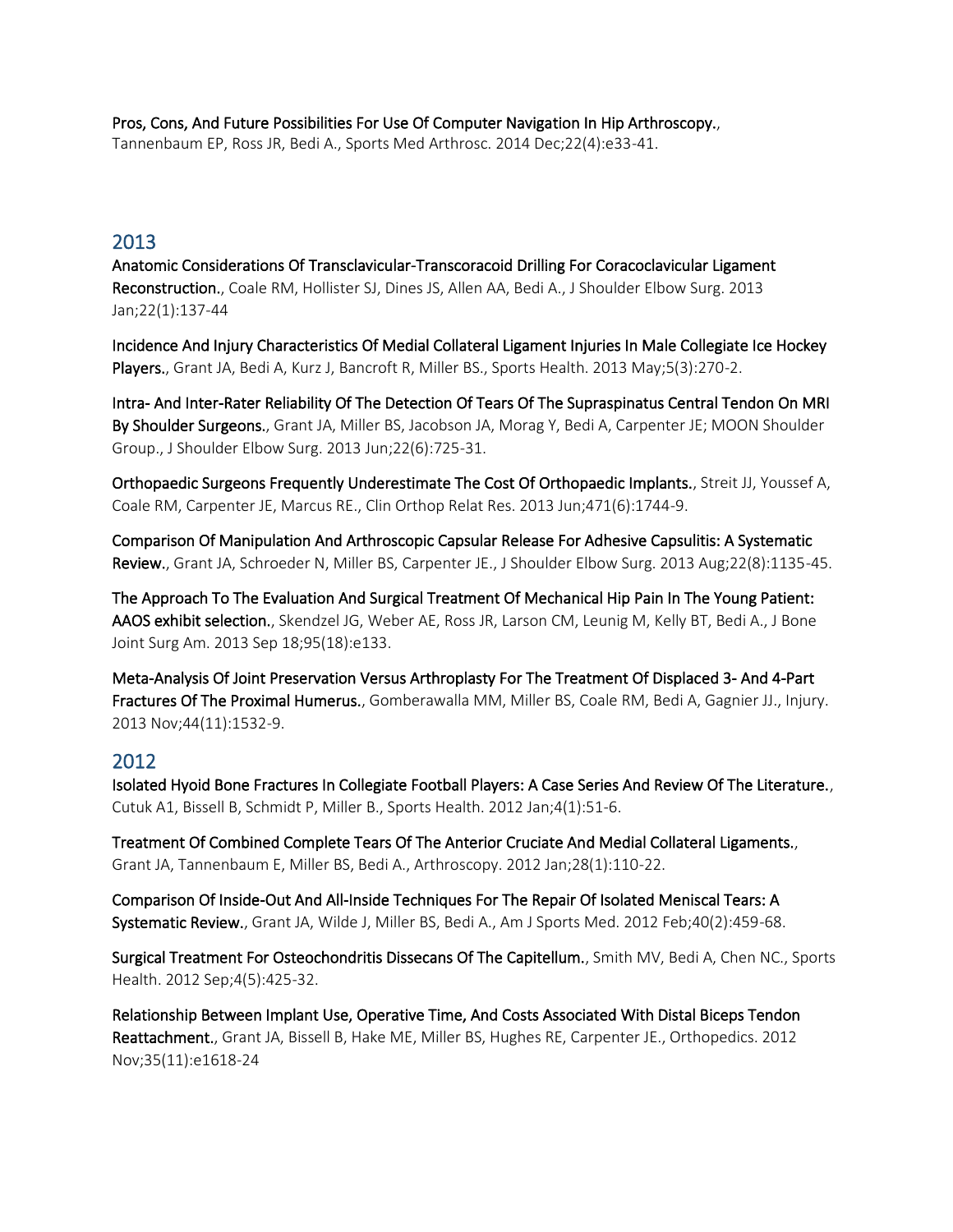[Pros, Cons, And Future Possibilities For Use Of Computer Navigation In Hip Arthroscopy.,](https://www.ncbi.nlm.nih.gov/pubmed/25370881) Tannenbaum EP, Ross JR, Bedi A., Sports Med Arthrosc. 2014 Dec;22(4):e33-41.

## 2013

[Anatomic Considerations Of Transclavicular-Transcoracoid Drilling For Coracoclavicular Ligament](https://www.ncbi.nlm.nih.gov/pubmed/22521389)  [Reconstruction.,](https://www.ncbi.nlm.nih.gov/pubmed/22521389) Coale RM, Hollister SJ, Dines JS, Allen AA, Bedi A., J Shoulder Elbow Surg. 2013 Jan;22(1):137-44

[Incidence And Injury Characteristics Of Medial Collateral Ligament Injuries In Male Collegiate Ice Hockey](https://www.ncbi.nlm.nih.gov/pubmed/24427401)  [Players.,](https://www.ncbi.nlm.nih.gov/pubmed/24427401) Grant JA, Bedi A, Kurz J, Bancroft R, Miller BS., Sports Health. 2013 May;5(3):270-2.

[Intra- And Inter-Rater Reliability Of The Detection Of Tears Of The Supraspinatus Central Tendon On MRI](https://www.ncbi.nlm.nih.gov/pubmed/23158043)  [By Shoulder Surgeons.,](https://www.ncbi.nlm.nih.gov/pubmed/23158043) Grant JA, Miller BS, Jacobson JA, Morag Y, Bedi A, Carpenter JE; MOON Shoulder Group., J Shoulder Elbow Surg. 2013 Jun;22(6):725-31.

[Orthopaedic Surgeons Frequently Underestimate The Cost Of Orthopaedic Implants.,](https://www.ncbi.nlm.nih.gov/pubmed/23250855) Streit JJ, Youssef A, Coale RM, Carpenter JE, Marcus RE., Clin Orthop Relat Res. 2013 Jun;471(6):1744-9.

[Comparison Of Manipulation And Arthroscopic Capsular Release For Adhesive Capsulitis: A Systematic](https://www.ncbi.nlm.nih.gov/pubmed/23510748)  [Review.,](https://www.ncbi.nlm.nih.gov/pubmed/23510748) Grant JA, Schroeder N, Miller BS, Carpenter JE., J Shoulder Elbow Surg. 2013 Aug;22(8):1135-45.

[The Approach To The Evaluation And Surgical Treatment Of Mechanical Hip Pain In The Young Patient:](https://www.ncbi.nlm.nih.gov/pubmed/24048564)  [AAOS exhibit selection.,](https://www.ncbi.nlm.nih.gov/pubmed/24048564) Skendzel JG, Weber AE, Ross JR, Larson CM, Leunig M, Kelly BT, Bedi A., J Bone Joint Surg Am. 2013 Sep 18;95(18):e133.

[Meta-Analysis Of Joint Preservation Versus Arthroplasty For The Treatment Of Displaced 3- And 4-Part](https://www.ncbi.nlm.nih.gov/pubmed/23664063)  [Fractures Of The Proximal Humerus.,](https://www.ncbi.nlm.nih.gov/pubmed/23664063) Gomberawalla MM, Miller BS, Coale RM, Bedi A, Gagnier JJ., Injury. 2013 Nov;44(11):1532-9.

## 2012

Isolated Hyoid Bone Fractures In Collegiate Football Players: A Case Series And Review Of The Literature., [Cutuk A1](https://www.ncbi.nlm.nih.gov/pubmed/?term=Cutuk%20A%5BAuthor%5D&cauthor=true&cauthor_uid=23016069), [Bissell B,](https://www.ncbi.nlm.nih.gov/pubmed/?term=Bissell%20B%5BAuthor%5D&cauthor=true&cauthor_uid=23016069) [Schmidt P,](https://www.ncbi.nlm.nih.gov/pubmed/?term=Schmidt%20P%5BAuthor%5D&cauthor=true&cauthor_uid=23016069) [Miller B.](https://www.ncbi.nlm.nih.gov/pubmed/?term=Miller%20B%5BAuthor%5D&cauthor=true&cauthor_uid=23016069), [Sports Health.](https://www.ncbi.nlm.nih.gov/pubmed/?cmd=historysearch&querykey=25) 2012 Jan;4(1):51-6.

[Treatment Of Combined Complete Tears Of The Anterior Cruciate And Medial Collateral Ligaments.,](https://www.ncbi.nlm.nih.gov/pubmed/22119290) Grant JA, Tannenbaum E, Miller BS, Bedi A., Arthroscopy. 2012 Jan;28(1):110-22.

[Comparison Of Inside-Out And All-Inside Techniques For The Repair Of Isolated Meniscal Tears: A](https://www.ncbi.nlm.nih.gov/pubmed/21737837)  [Systematic Review.,](https://www.ncbi.nlm.nih.gov/pubmed/21737837) Grant JA, Wilde J, Miller BS, Bedi A., Am J Sports Med. 2012 Feb;40(2):459-68.

[Surgical Treatment For Osteochondritis Dissecans Of The Capitellum.,](https://www.ncbi.nlm.nih.gov/pubmed/23016116) Smith MV, Bedi A, Chen NC., Sports Health. 2012 Sep;4(5):425-32.

[Relationship Between Implant Use, Operative Time, And Costs Associated With Distal Biceps Tendon](https://www.ncbi.nlm.nih.gov/pubmed/23127453)  [Reattachment.,](https://www.ncbi.nlm.nih.gov/pubmed/23127453) Grant JA, Bissell B, Hake ME, Miller BS, Hughes RE, Carpenter JE., Orthopedics. 2012 Nov;35(11):e1618-24